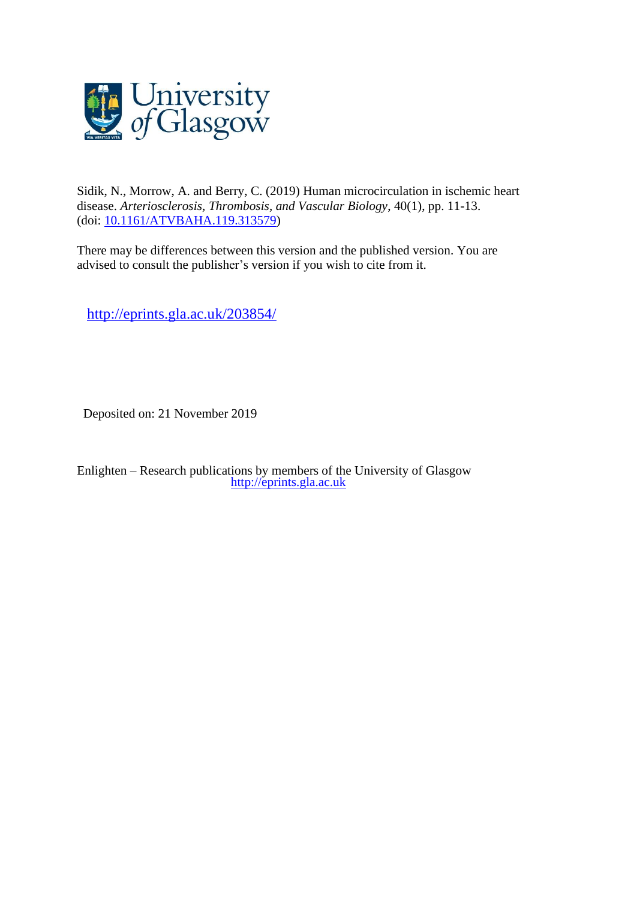

Sidik, N., Morrow, A. and Berry, C. (2019) Human microcirculation in ischemic heart disease. *Arteriosclerosis, Thrombosis, and Vascular Biology*, 40(1), pp. 11-13. (doi: [10.1161/ATVBAHA.119.313579\)](http://dx.doi.org/10.1161/ATVBAHA.119.313579)

There may be differences between this version and the published version. You are advised to consult the publisher's version if you wish to cite from it.

<http://eprints.gla.ac.uk/203854/>

Deposited on: 21 November 2019

Enlighten – Research publications by members of the University of Glasgow [http://eprints.gla.ac.uk](http://eprints.gla.ac.uk/)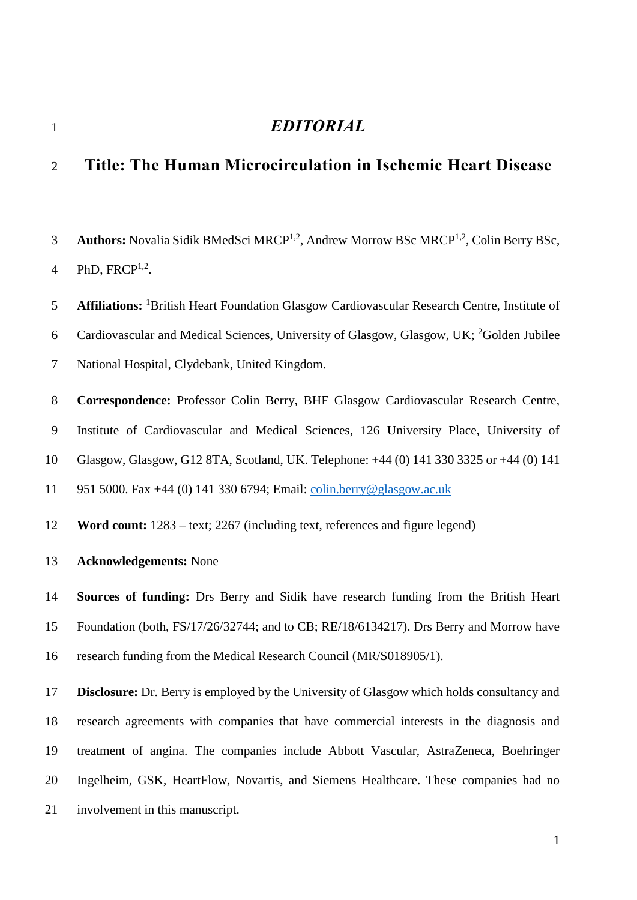### *EDITORIAL*

# **Title: The Human Microcirculation in Ischemic Heart Disease**

3 **Authors:** Novalia Sidik BMedSci MRCP<sup>1,2</sup>, Andrew Morrow BSc MRCP<sup>1,2</sup>, Colin Berry BSc, 4 PhD,  $FRCP<sup>1,2</sup>$ .

5 Affiliations: <sup>1</sup>British Heart Foundation Glasgow Cardiovascular Research Centre, Institute of 6 Cardiovascular and Medical Sciences, University of Glasgow, Glasgow, UK; <sup>2</sup>Golden Jubilee National Hospital, Clydebank, United Kingdom.

 **Correspondence:** Professor Colin Berry, BHF Glasgow Cardiovascular Research Centre, Institute of Cardiovascular and Medical Sciences, 126 University Place, University of Glasgow, Glasgow, G12 8TA, Scotland, UK. Telephone: +44 (0) 141 330 3325 or +44 (0) 141 951 5000. Fax +44 (0) 141 330 6794; Email: [colin.berry@glasgow.ac.uk](mailto:colin.berry@glasgow.ac.uk)

**Word count:** 1283 – text; 2267 (including text, references and figure legend)

**Acknowledgements:** None

 **Sources of funding:** Drs Berry and Sidik have research funding from the British Heart Foundation (both, FS/17/26/32744; and to CB; RE/18/6134217). Drs Berry and Morrow have research funding from the Medical Research Council (MR/S018905/1).

 **Disclosure:** Dr. Berry is employed by the University of Glasgow which holds consultancy and research agreements with companies that have commercial interests in the diagnosis and treatment of angina. The companies include Abbott Vascular, AstraZeneca, Boehringer Ingelheim, GSK, HeartFlow, Novartis, and Siemens Healthcare. These companies had no involvement in this manuscript.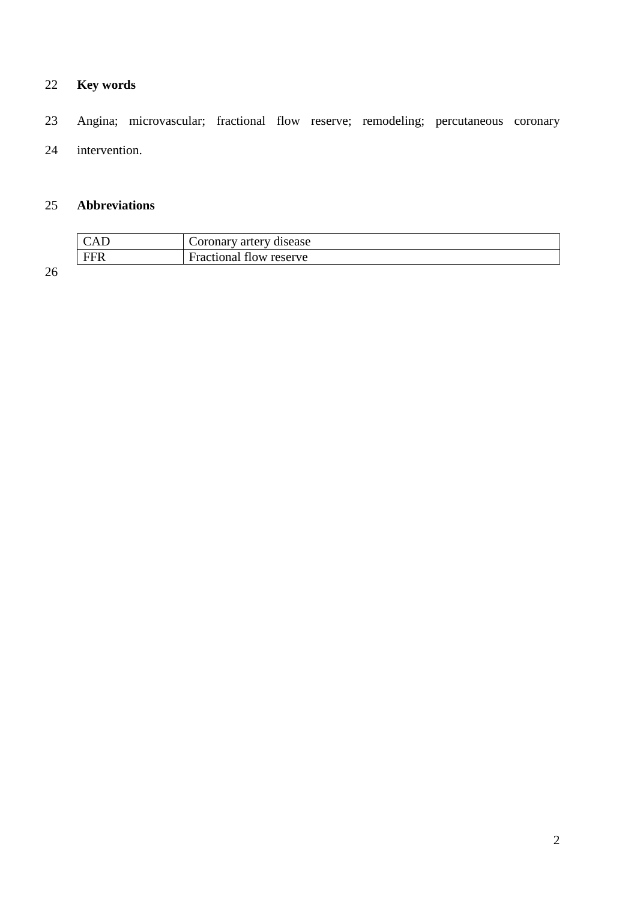# **Key words**

- Angina; microvascular; fractional flow reserve; remodeling; percutaneous coronary
- intervention.

#### **Abbreviations**

| $\Gamma$ AI | Coronary artery disease |
|-------------|-------------------------|
| FFR         | Fractional flow reserve |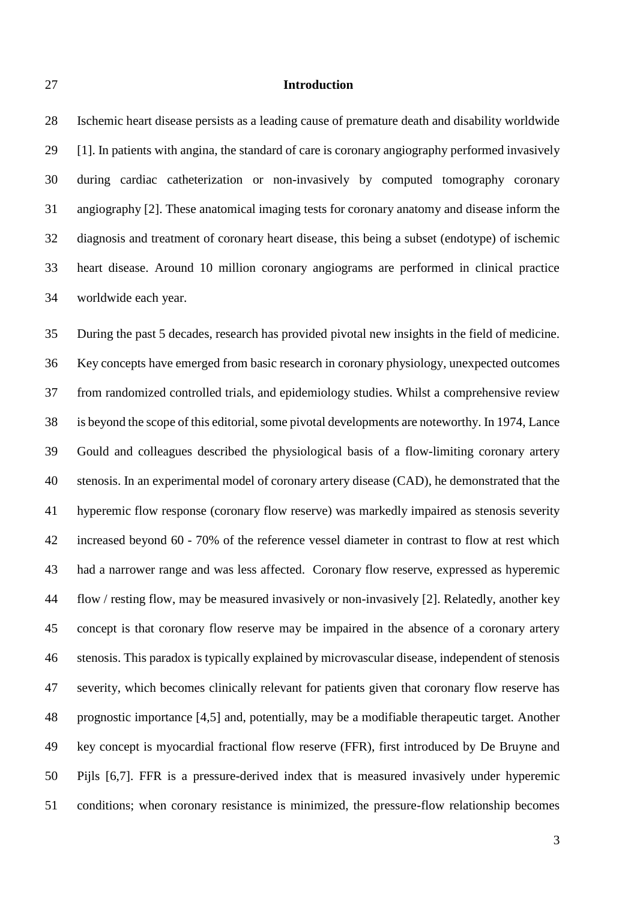#### **Introduction**

 Ischemic heart disease persists as a leading cause of premature death and disability worldwide [1]. In patients with angina, the standard of care is coronary angiography performed invasively during cardiac catheterization or non-invasively by computed tomography coronary angiography [2]. These anatomical imaging tests for coronary anatomy and disease inform the diagnosis and treatment of coronary heart disease, this being a subset (endotype) of ischemic heart disease. Around 10 million coronary angiograms are performed in clinical practice worldwide each year.

 During the past 5 decades, research has provided pivotal new insights in the field of medicine. Key concepts have emerged from basic research in coronary physiology, unexpected outcomes from randomized controlled trials, and epidemiology studies. Whilst a comprehensive review is beyond the scope of this editorial, some pivotal developments are noteworthy. In 1974, Lance Gould and colleagues described the physiological basis of a flow-limiting coronary artery stenosis. In an experimental model of coronary artery disease (CAD), he demonstrated that the hyperemic flow response (coronary flow reserve) was markedly impaired as stenosis severity increased beyond 60 - 70% of the reference vessel diameter in contrast to flow at rest which had a narrower range and was less affected. Coronary flow reserve, expressed as hyperemic flow / resting flow, may be measured invasively or non-invasively [2]. Relatedly, another key concept is that coronary flow reserve may be impaired in the absence of a coronary artery stenosis. This paradox is typically explained by microvascular disease, independent of stenosis severity, which becomes clinically relevant for patients given that coronary flow reserve has prognostic importance [4,5] and, potentially, may be a modifiable therapeutic target. Another key concept is myocardial fractional flow reserve (FFR), first introduced by De Bruyne and Pijls [6,7]. FFR is a pressure-derived index that is measured invasively under hyperemic conditions; when coronary resistance is minimized, the pressure-flow relationship becomes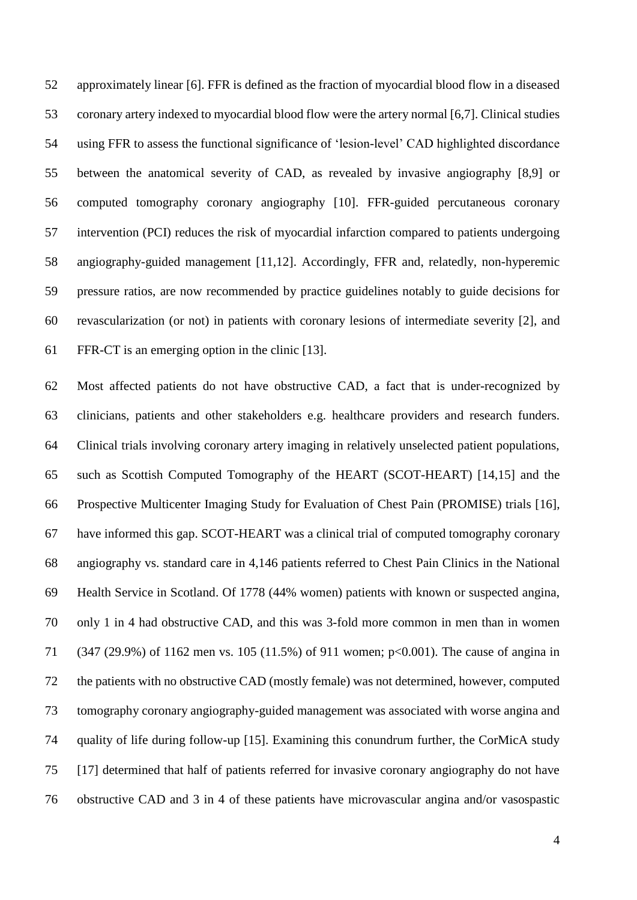approximately linear [6]. FFR is defined as the fraction of myocardial blood flow in a diseased coronary artery indexed to myocardial blood flow were the artery normal [6,7]. Clinical studies using FFR to assess the functional significance of 'lesion-level' CAD highlighted discordance between the anatomical severity of CAD, as revealed by invasive angiography [8,9] or computed tomography coronary angiography [10]. FFR-guided percutaneous coronary intervention (PCI) reduces the risk of myocardial infarction compared to patients undergoing angiography-guided management [11,12]. Accordingly, FFR and, relatedly, non-hyperemic pressure ratios, are now recommended by practice guidelines notably to guide decisions for revascularization (or not) in patients with coronary lesions of intermediate severity [2], and FFR-CT is an emerging option in the clinic [13].

 Most affected patients do not have obstructive CAD, a fact that is under-recognized by clinicians, patients and other stakeholders e.g. healthcare providers and research funders. Clinical trials involving coronary artery imaging in relatively unselected patient populations, such as Scottish Computed Tomography of the HEART (SCOT-HEART) [14,15] and the Prospective Multicenter Imaging Study for Evaluation of Chest Pain (PROMISE) trials [16], have informed this gap. SCOT-HEART was a clinical trial of computed tomography coronary angiography vs. standard care in 4,146 patients referred to Chest Pain Clinics in the National Health Service in Scotland. Of 1778 (44% women) patients with known or suspected angina, only 1 in 4 had obstructive CAD, and this was 3-fold more common in men than in women (347 (29.9%) of 1162 men vs. 105 (11.5%) of 911 women; p<0.001). The cause of angina in the patients with no obstructive CAD (mostly female) was not determined, however, computed tomography coronary angiography-guided management was associated with worse angina and quality of life during follow-up [15]. Examining this conundrum further, the CorMicA study [17] determined that half of patients referred for invasive coronary angiography do not have obstructive CAD and 3 in 4 of these patients have microvascular angina and/or vasospastic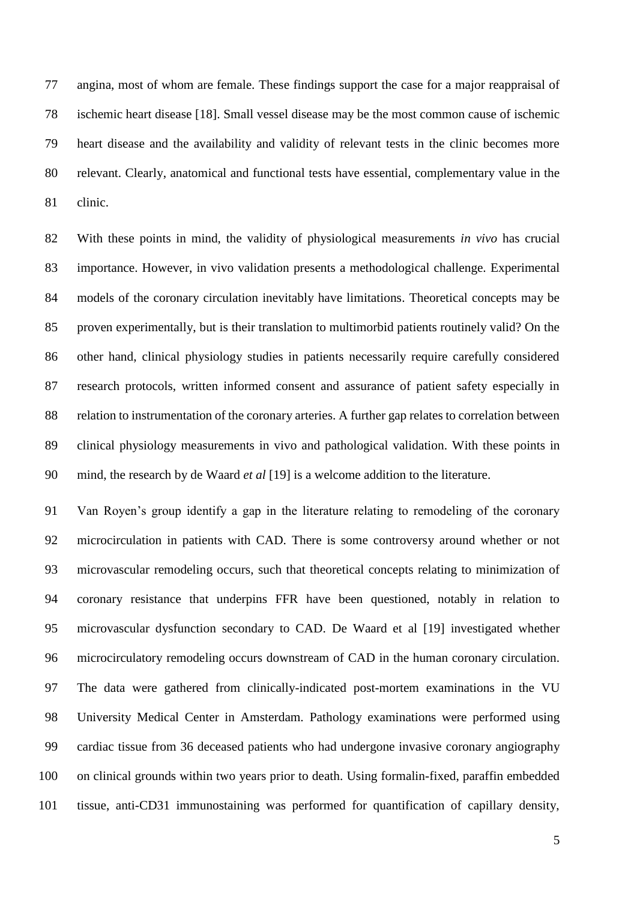angina, most of whom are female. These findings support the case for a major reappraisal of ischemic heart disease [18]. Small vessel disease may be the most common cause of ischemic heart disease and the availability and validity of relevant tests in the clinic becomes more relevant. Clearly, anatomical and functional tests have essential, complementary value in the clinic.

 With these points in mind, the validity of physiological measurements *in vivo* has crucial importance. However, in vivo validation presents a methodological challenge. Experimental 84 models of the coronary circulation inevitably have limitations. Theoretical concepts may be proven experimentally, but is their translation to multimorbid patients routinely valid? On the other hand, clinical physiology studies in patients necessarily require carefully considered research protocols, written informed consent and assurance of patient safety especially in relation to instrumentation of the coronary arteries. A further gap relates to correlation between clinical physiology measurements in vivo and pathological validation. With these points in mind, the research by de Waard *et al* [19] is a welcome addition to the literature.

 Van Royen's group identify a gap in the literature relating to remodeling of the coronary microcirculation in patients with CAD. There is some controversy around whether or not microvascular remodeling occurs, such that theoretical concepts relating to minimization of coronary resistance that underpins FFR have been questioned, notably in relation to microvascular dysfunction secondary to CAD. De Waard et al [19] investigated whether microcirculatory remodeling occurs downstream of CAD in the human coronary circulation. The data were gathered from clinically-indicated post-mortem examinations in the VU University Medical Center in Amsterdam. Pathology examinations were performed using cardiac tissue from 36 deceased patients who had undergone invasive coronary angiography on clinical grounds within two years prior to death. Using formalin-fixed, paraffin embedded tissue, anti-CD31 immunostaining was performed for quantification of capillary density,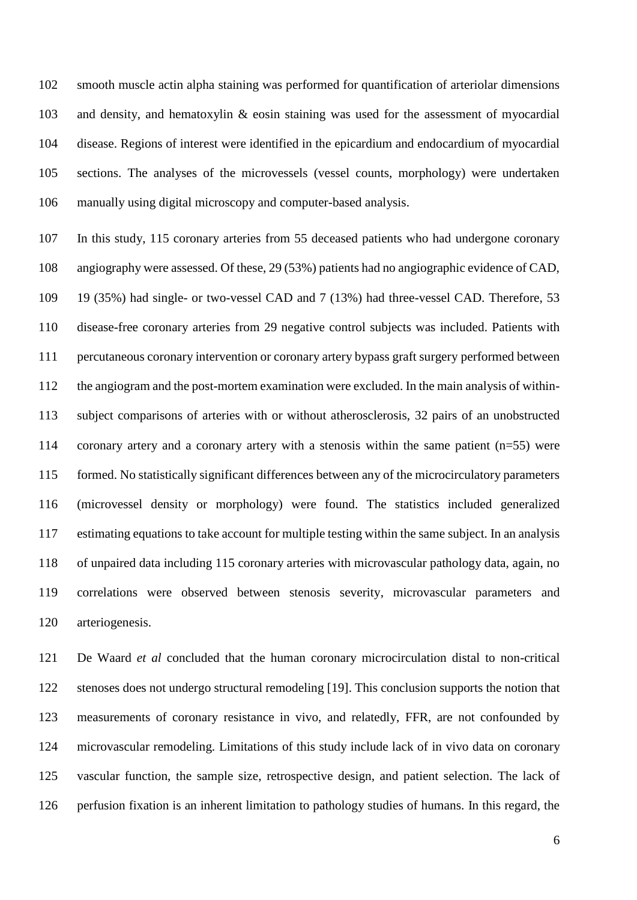smooth muscle actin alpha staining was performed for quantification of arteriolar dimensions and density, and hematoxylin & eosin staining was used for the assessment of myocardial disease. Regions of interest were identified in the epicardium and endocardium of myocardial sections. The analyses of the microvessels (vessel counts, morphology) were undertaken manually using digital microscopy and computer-based analysis.

 In this study, 115 coronary arteries from 55 deceased patients who had undergone coronary angiography were assessed. Of these, 29 (53%) patients had no angiographic evidence of CAD, 19 (35%) had single- or two-vessel CAD and 7 (13%) had three-vessel CAD. Therefore, 53 disease-free coronary arteries from 29 negative control subjects was included. Patients with percutaneous coronary intervention or coronary artery bypass graft surgery performed between the angiogram and the post-mortem examination were excluded. In the main analysis of within- subject comparisons of arteries with or without atherosclerosis, 32 pairs of an unobstructed coronary artery and a coronary artery with a stenosis within the same patient (n=55) were formed. No statistically significant differences between any of the microcirculatory parameters (microvessel density or morphology) were found. The statistics included generalized estimating equations to take account for multiple testing within the same subject. In an analysis of unpaired data including 115 coronary arteries with microvascular pathology data, again, no correlations were observed between stenosis severity, microvascular parameters and arteriogenesis.

 De Waard *et al* concluded that the human coronary microcirculation distal to non-critical stenoses does not undergo structural remodeling [19]. This conclusion supports the notion that measurements of coronary resistance in vivo, and relatedly, FFR, are not confounded by microvascular remodeling. Limitations of this study include lack of in vivo data on coronary vascular function, the sample size, retrospective design, and patient selection. The lack of perfusion fixation is an inherent limitation to pathology studies of humans. In this regard, the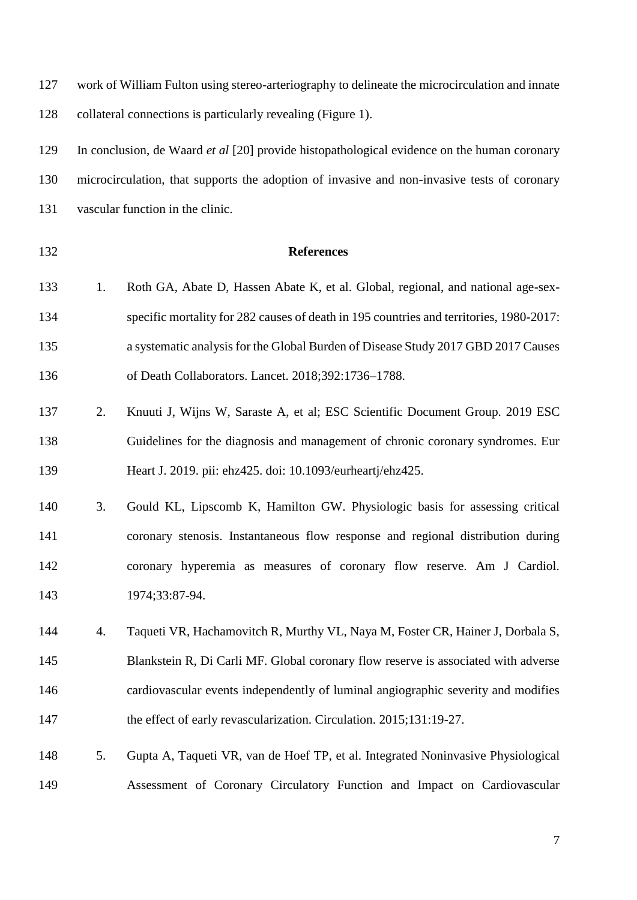work of William Fulton using stereo-arteriography to delineate the microcirculation and innate collateral connections is particularly revealing (Figure 1). In conclusion, de Waard *et al* [20] provide histopathological evidence on the human coronary microcirculation, that supports the adoption of invasive and non-invasive tests of coronary vascular function in the clinic. **References** 133 1. Roth GA, Abate D, Hassen Abate K, et al. Global, regional, and national age-sex- specific mortality for 282 causes of death in 195 countries and territories, 1980-2017: a systematic analysis for the Global Burden of Disease Study 2017 GBD 2017 Causes of Death Collaborators. Lancet. 2018;392:1736–1788. 2. Knuuti J, Wijns W, Saraste A, et al; ESC Scientific Document Group. 2019 ESC Guidelines for the diagnosis and management of chronic coronary syndromes. Eur Heart J. 2019. pii: ehz425. doi: 10.1093/eurheartj/ehz425. 3. Gould KL, Lipscomb K, Hamilton GW. Physiologic basis for assessing critical coronary stenosis. Instantaneous flow response and regional distribution during coronary hyperemia as measures of coronary flow reserve. Am J Cardiol. 143 1974;33:87-94. 4. Taqueti VR, Hachamovitch R, Murthy VL, Naya M, Foster CR, Hainer J, Dorbala S, Blankstein R, Di Carli MF. Global coronary flow reserve is associated with adverse cardiovascular events independently of luminal angiographic severity and modifies 147 the effect of early revascularization. Circulation. 2015:131:19-27. 5. Gupta A, Taqueti VR, van de Hoef TP, et al. Integrated Noninvasive Physiological Assessment of Coronary Circulatory Function and Impact on Cardiovascular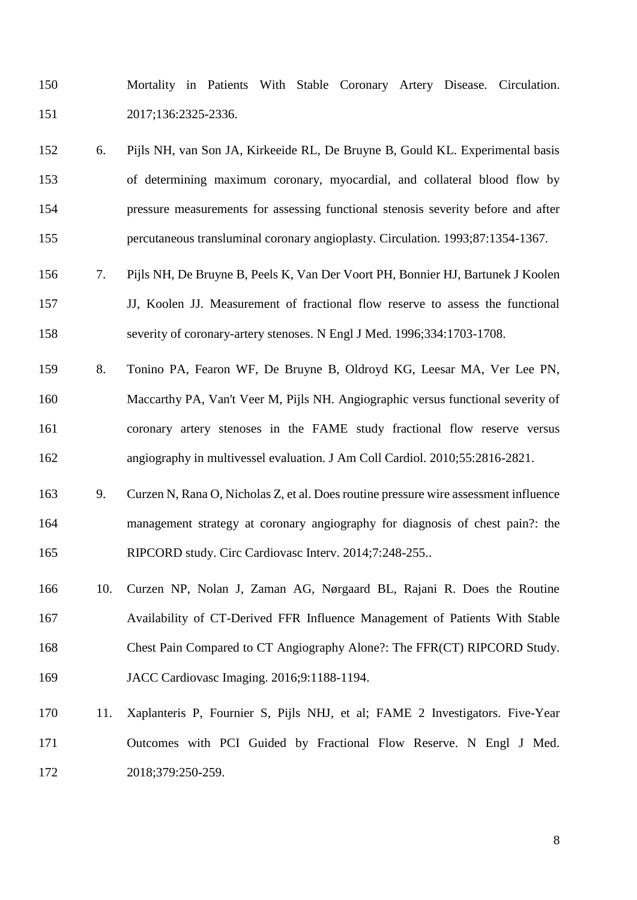- Mortality in Patients With Stable Coronary Artery Disease. Circulation. 2017;136:2325-2336.
- 6. Pijls NH, van Son JA, Kirkeeide RL, De Bruyne B, Gould KL. Experimental basis of determining maximum coronary, myocardial, and collateral blood flow by pressure measurements for assessing functional stenosis severity before and after percutaneous transluminal coronary angioplasty. Circulation. 1993;87:1354-1367.
- 7. Pijls NH, De Bruyne B, Peels K, Van Der Voort PH, Bonnier HJ, Bartunek J Koolen JJ, Koolen JJ. Measurement of fractional flow reserve to assess the functional severity of coronary-artery stenoses. N Engl J Med. 1996;334:1703-1708.
- 8. Tonino PA, Fearon WF, De Bruyne B, Oldroyd KG, Leesar MA, Ver Lee PN, Maccarthy PA, Van't Veer M, Pijls NH. Angiographic versus functional severity of coronary artery stenoses in the FAME study fractional flow reserve versus angiography in multivessel evaluation. J Am Coll Cardiol. 2010;55:2816-2821.
- 9. Curzen N, Rana O, Nicholas Z, et al. Does routine pressure wire assessment influence management strategy at coronary angiography for diagnosis of chest pain?: the RIPCORD study. Circ Cardiovasc Interv. 2014;7:248-255..
- 10. Curzen NP, Nolan J, Zaman AG, Nørgaard BL, Rajani R. Does the Routine Availability of CT-Derived FFR Influence Management of Patients With Stable Chest Pain Compared to CT Angiography Alone?: The FFR(CT) RIPCORD Study. JACC Cardiovasc Imaging. 2016;9:1188-1194.
- 11. Xaplanteris P, Fournier S, Pijls NHJ, et al; FAME 2 Investigators. Five-Year Outcomes with PCI Guided by Fractional Flow Reserve. N Engl J Med. 2018;379:250-259.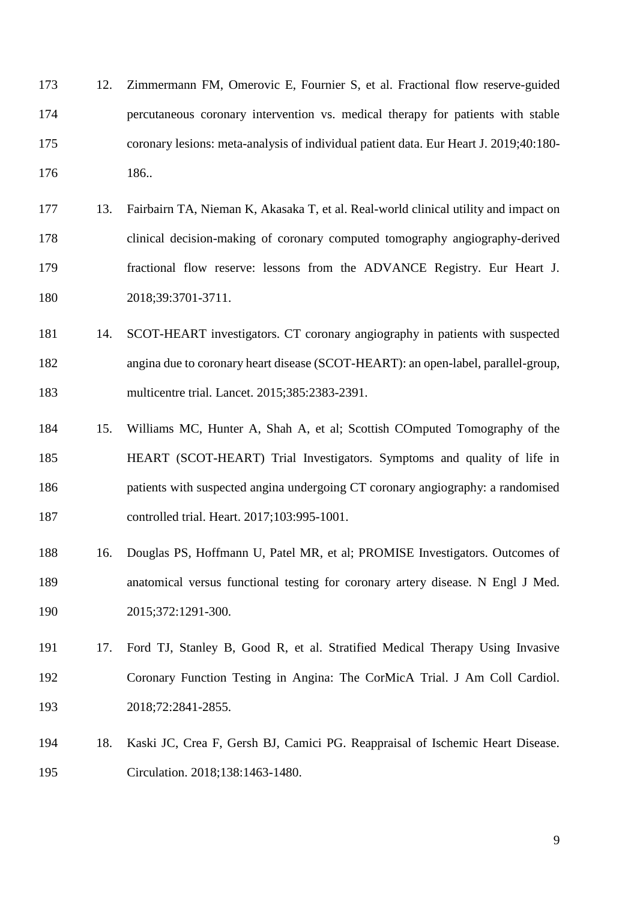- 12. Zimmermann FM, Omerovic E, Fournier S, et al. Fractional flow reserve-guided percutaneous coronary intervention vs. medical therapy for patients with stable coronary lesions: meta-analysis of individual patient data. Eur Heart J. 2019;40:180- 186..
- 13. Fairbairn TA, Nieman K, Akasaka T, et al. Real-world clinical utility and impact on clinical decision-making of coronary computed tomography angiography-derived fractional flow reserve: lessons from the ADVANCE Registry. Eur Heart J. 2018;39:3701-3711.
- 14. SCOT-HEART investigators. CT coronary angiography in patients with suspected angina due to coronary heart disease (SCOT-HEART): an open-label, parallel-group, multicentre trial. Lancet. 2015;385:2383-2391.
- 15. Williams MC, Hunter A, Shah A, et al; Scottish COmputed Tomography of the HEART (SCOT-HEART) Trial Investigators. Symptoms and quality of life in patients with suspected angina undergoing CT coronary angiography: a randomised controlled trial. Heart. 2017;103:995-1001.
- 16. Douglas PS, Hoffmann U, Patel MR, et al; PROMISE Investigators. Outcomes of anatomical versus functional testing for coronary artery disease. N Engl J Med. 2015;372:1291-300.
- 17. Ford TJ, Stanley B, Good R, et al. Stratified Medical Therapy Using Invasive Coronary Function Testing in Angina: The CorMicA Trial. J Am Coll Cardiol. 2018;72:2841-2855.
- 18. Kaski JC, Crea F, Gersh BJ, Camici PG. Reappraisal of Ischemic Heart Disease. Circulation. 2018;138:1463-1480.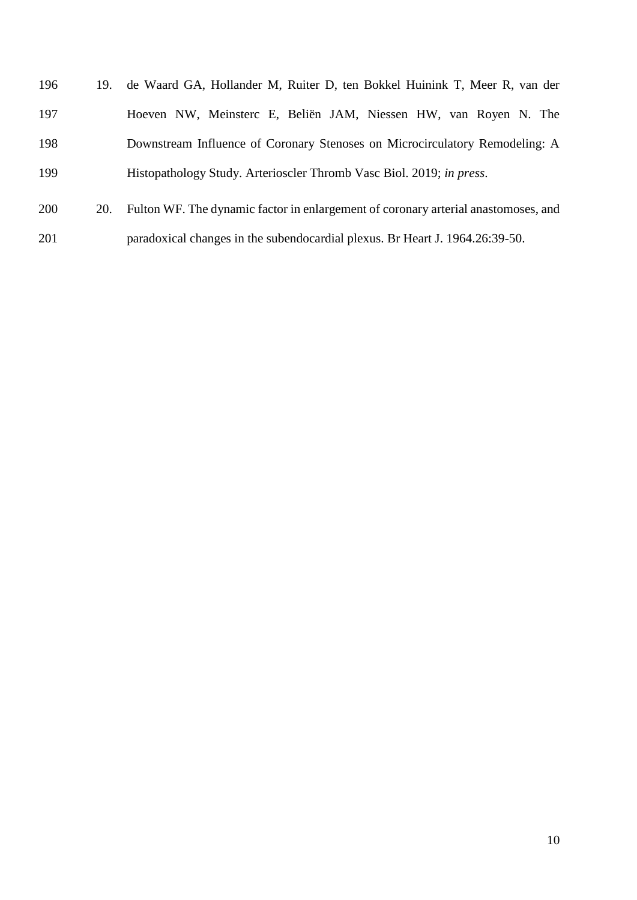| 196 | 19. | de Waard GA, Hollander M, Ruiter D, ten Bokkel Huinink T, Meer R, van der          |
|-----|-----|------------------------------------------------------------------------------------|
| 197 |     | Hoeven NW, Meinsterc E, Beliën JAM, Niessen HW, van Royen N. The                   |
| 198 |     | Downstream Influence of Coronary Stenoses on Microcirculatory Remodeling: A        |
| 199 |     | Histopathology Study. Arterioscler Thromb Vasc Biol. 2019; in press.               |
| 200 | 20. | Fulton WF. The dynamic factor in enlargement of coronary arterial anastomoses, and |

paradoxical changes in the subendocardial plexus. Br Heart J. 1964.26:39-50.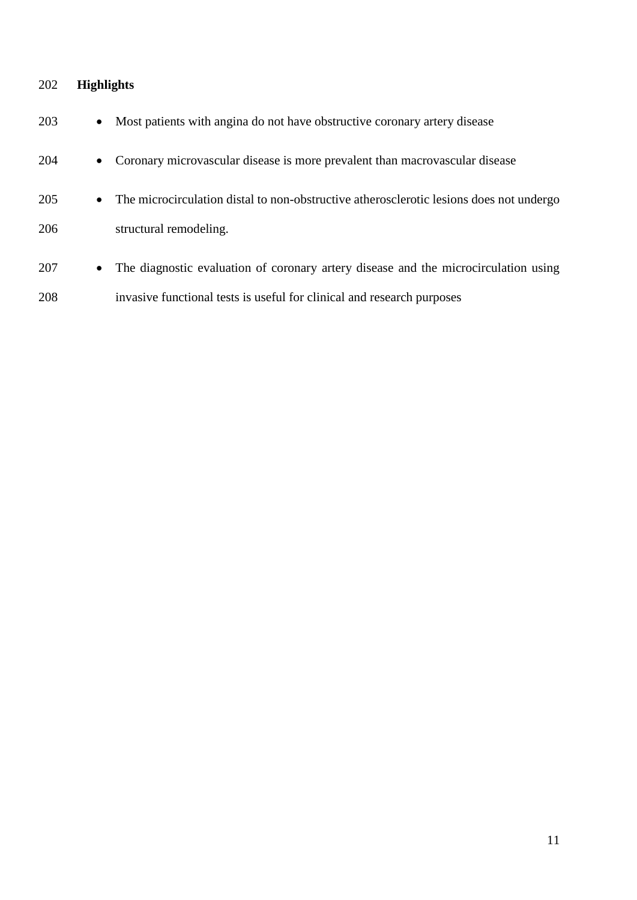# **Highlights**

| 203 | $\bullet$ | Most patients with angina do not have obstructive coronary artery disease               |
|-----|-----------|-----------------------------------------------------------------------------------------|
| 204 | $\bullet$ | Coronary microvascular disease is more prevalent than macrovascular disease             |
| 205 | $\bullet$ | The microcirculation distal to non-obstructive atherosclerotic lesions does not undergo |
| 206 |           | structural remodeling.                                                                  |
| 207 | $\bullet$ | The diagnostic evaluation of coronary artery disease and the microcirculation using     |
| 208 |           | invasive functional tests is useful for clinical and research purposes                  |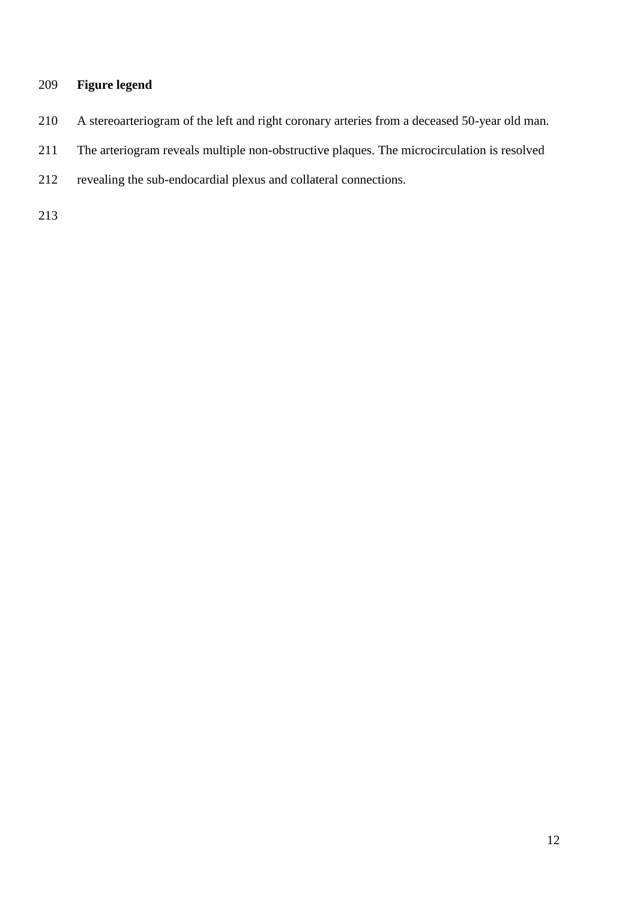# **Figure legend**

- A stereoarteriogram of the left and right coronary arteries from a deceased 50-year old man.
- The arteriogram reveals multiple non-obstructive plaques. The microcirculation is resolved
- revealing the sub-endocardial plexus and collateral connections.